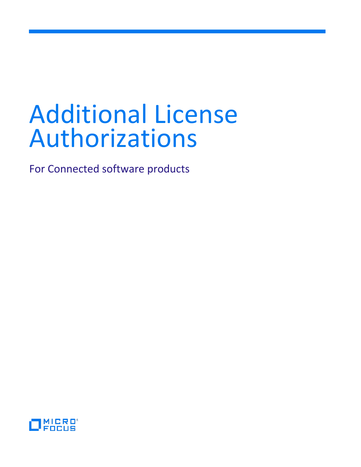# Additional License Authorizations

For Connected software products

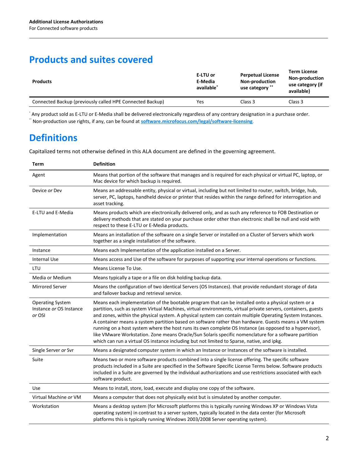## **Products and suites covered**

| <b>Products</b>                                           | E-LTU or<br>E-Media<br>available <sup>*</sup> | <b>Perpetual License</b><br><b>Non-production</b><br>use category ** | <b>Term License</b><br><b>Non-production</b><br>use category (if<br>available) |
|-----------------------------------------------------------|-----------------------------------------------|----------------------------------------------------------------------|--------------------------------------------------------------------------------|
| Connected Backup (previously called HPE Connected Backup) | Yes                                           | Class 3                                                              | Class 3                                                                        |

\* Any product sold as E-LTU or E-Media shall be delivered electronically regardless of any contrary designation in a purchase order. \*\* Non-production use rights, if any, can be found at **[software.microfocus.com/legal/software-licensing](https://software.microfocus.com/legal/software-licensing)**.

# **Definitions**

Capitalized terms not otherwise defined in this ALA document are defined in the governing agreement.

| <b>Term</b>                                                  | <b>Definition</b>                                                                                                                                                                                                                                                                                                                                                                                                                                                                                                                                                                                                                                                                                                                                            |
|--------------------------------------------------------------|--------------------------------------------------------------------------------------------------------------------------------------------------------------------------------------------------------------------------------------------------------------------------------------------------------------------------------------------------------------------------------------------------------------------------------------------------------------------------------------------------------------------------------------------------------------------------------------------------------------------------------------------------------------------------------------------------------------------------------------------------------------|
| Agent                                                        | Means that portion of the software that manages and is required for each physical or virtual PC, laptop, or<br>Mac device for which backup is required.                                                                                                                                                                                                                                                                                                                                                                                                                                                                                                                                                                                                      |
| Device or Dev                                                | Means an addressable entity, physical or virtual, including but not limited to router, switch, bridge, hub,<br>server, PC, laptops, handheld device or printer that resides within the range defined for interrogation and<br>asset tracking.                                                                                                                                                                                                                                                                                                                                                                                                                                                                                                                |
| E-LTU and E-Media                                            | Means products which are electronically delivered only, and as such any reference to FOB Destination or<br>delivery methods that are stated on your purchase order other than electronic shall be null and void with<br>respect to these E-LTU or E-Media products.                                                                                                                                                                                                                                                                                                                                                                                                                                                                                          |
| Implementation                                               | Means an installation of the software on a single Server or installed on a Cluster of Servers which work<br>together as a single installation of the software.                                                                                                                                                                                                                                                                                                                                                                                                                                                                                                                                                                                               |
| Instance                                                     | Means each Implementation of the application installed on a Server.                                                                                                                                                                                                                                                                                                                                                                                                                                                                                                                                                                                                                                                                                          |
| <b>Internal Use</b>                                          | Means access and Use of the software for purposes of supporting your internal operations or functions.                                                                                                                                                                                                                                                                                                                                                                                                                                                                                                                                                                                                                                                       |
| LTU                                                          | Means License To Use.                                                                                                                                                                                                                                                                                                                                                                                                                                                                                                                                                                                                                                                                                                                                        |
| Media or Medium                                              | Means typically a tape or a file on disk holding backup data.                                                                                                                                                                                                                                                                                                                                                                                                                                                                                                                                                                                                                                                                                                |
| <b>Mirrored Server</b>                                       | Means the configuration of two identical Servers (OS Instances). that provide redundant storage of data<br>and failover backup and retrieval service.                                                                                                                                                                                                                                                                                                                                                                                                                                                                                                                                                                                                        |
| <b>Operating System</b><br>Instance or OS Instance<br>or OSI | Means each implementation of the bootable program that can be installed onto a physical system or a<br>partition, such as system Virtual Machines, virtual environments, virtual private servers, containers, guests<br>and zones, within the physical system. A physical system can contain multiple Operating System Instances.<br>A container means a system partition based on software rather than hardware. Guests means a VM system<br>running on a host system where the host runs its own complete OS Instance (as opposed to a hypervisor),<br>like VMware Workstation. Zone means Oracle/Sun Solaris specific nomenclature for a software partition<br>which can run a virtual OS instance including but not limited to Sparse, native, and ipkg. |
| Single Server or Svr                                         | Means a designated computer system in which an Instance or Instances of the software is installed.                                                                                                                                                                                                                                                                                                                                                                                                                                                                                                                                                                                                                                                           |
| Suite                                                        | Means two or more software products combined into a single license offering. The specific software<br>products included in a Suite are specified in the Software Specific License Terms below. Software products<br>included in a Suite are governed by the individual authorizations and use restrictions associated with each<br>software product.                                                                                                                                                                                                                                                                                                                                                                                                         |
| Use                                                          | Means to install, store, load, execute and display one copy of the software.                                                                                                                                                                                                                                                                                                                                                                                                                                                                                                                                                                                                                                                                                 |
| Virtual Machine or VM                                        | Means a computer that does not physically exist but is simulated by another computer.                                                                                                                                                                                                                                                                                                                                                                                                                                                                                                                                                                                                                                                                        |
| Workstation                                                  | Means a desktop system (for Microsoft platforms this is typically running Windows XP or Windows Vista<br>operating system) in contrast to a server system, typically located in the data center (for Microsoft<br>platforms this is typically running Windows 2003/2008 Server operating system).                                                                                                                                                                                                                                                                                                                                                                                                                                                            |